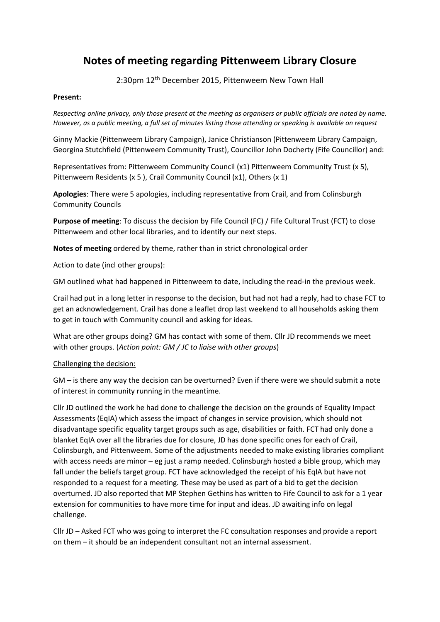# **Notes of meeting regarding Pittenweem Library Closure**

2:30pm 12th December 2015, Pittenweem New Town Hall

## **Present:**

*Respecting online privacy, only those present at the meeting as organisers or public officials are noted by name. However, as a public meeting, a full set of minutes listing those attending or speaking is available on request*

Ginny Mackie (Pittenweem Library Campaign), Janice Christianson (Pittenweem Library Campaign, Georgina Stutchfield (Pittenweem Community Trust), Councillor John Docherty (Fife Councillor) and:

Representatives from: Pittenweem Community Council (x1) Pittenweem Community Trust (x 5), Pittenweem Residents (x 5 ), Crail Community Council (x1), Others (x 1)

**Apologies**: There were 5 apologies, including representative from Crail, and from Colinsburgh Community Councils

**Purpose of meeting**: To discuss the decision by Fife Council (FC) / Fife Cultural Trust (FCT) to close Pittenweem and other local libraries, and to identify our next steps.

**Notes of meeting** ordered by theme, rather than in strict chronological order

#### Action to date (incl other groups):

GM outlined what had happened in Pittenweem to date, including the read-in the previous week.

Crail had put in a long letter in response to the decision, but had not had a reply, had to chase FCT to get an acknowledgement. Crail has done a leaflet drop last weekend to all households asking them to get in touch with Community council and asking for ideas.

What are other groups doing? GM has contact with some of them. Cllr JD recommends we meet with other groups. (*Action point: GM / JC to liaise with other groups*)

#### Challenging the decision:

GM – is there any way the decision can be overturned? Even if there were we should submit a note of interest in community running in the meantime.

Cllr JD outlined the work he had done to challenge the decision on the grounds of Equality Impact Assessments (EqIA) which assess the impact of changes in service provision, which should not disadvantage specific equality target groups such as age, disabilities or faith. FCT had only done a blanket EqIA over all the libraries due for closure, JD has done specific ones for each of Crail, Colinsburgh, and Pittenweem. Some of the adjustments needed to make existing libraries compliant with access needs are minor – eg just a ramp needed. Colinsburgh hosted a bible group, which may fall under the beliefs target group. FCT have acknowledged the receipt of his EqIA but have not responded to a request for a meeting. These may be used as part of a bid to get the decision overturned. JD also reported that MP Stephen Gethins has written to Fife Council to ask for a 1 year extension for communities to have more time for input and ideas. JD awaiting info on legal challenge.

Cllr JD – Asked FCT who was going to interpret the FC consultation responses and provide a report on them – it should be an independent consultant not an internal assessment.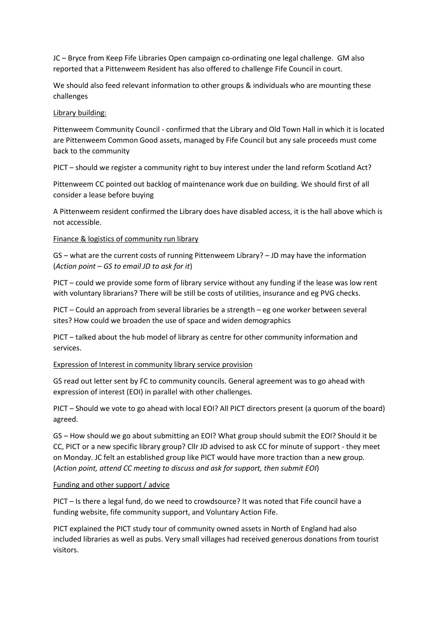JC – Bryce from Keep Fife Libraries Open campaign co-ordinating one legal challenge. GM also reported that a Pittenweem Resident has also offered to challenge Fife Council in court.

We should also feed relevant information to other groups & individuals who are mounting these challenges

#### Library building:

Pittenweem Community Council - confirmed that the Library and Old Town Hall in which it is located are Pittenweem Common Good assets, managed by Fife Council but any sale proceeds must come back to the community

PICT – should we register a community right to buy interest under the land reform Scotland Act?

Pittenweem CC pointed out backlog of maintenance work due on building. We should first of all consider a lease before buying

A Pittenweem resident confirmed the Library does have disabled access, it is the hall above which is not accessible.

## Finance & logistics of community run library

GS – what are the current costs of running Pittenweem Library? – JD may have the information (*Action point – GS to email JD to ask for it*)

PICT – could we provide some form of library service without any funding if the lease was low rent with voluntary librarians? There will be still be costs of utilities, insurance and eg PVG checks.

PICT – Could an approach from several libraries be a strength – eg one worker between several sites? How could we broaden the use of space and widen demographics

PICT – talked about the hub model of library as centre for other community information and services.

#### Expression of Interest in community library service provision

GS read out letter sent by FC to community councils. General agreement was to go ahead with expression of interest (EOI) in parallel with other challenges.

PICT – Should we vote to go ahead with local EOI? All PICT directors present (a quorum of the board) agreed.

GS – How should we go about submitting an EOI? What group should submit the EOI? Should it be CC, PICT or a new specific library group? Cllr JD advised to ask CC for minute of support - they meet on Monday. JC felt an established group like PICT would have more traction than a new group. (*Action point, attend CC meeting to discuss and ask for support, then submit EOI*)

# Funding and other support / advice

PICT – Is there a legal fund, do we need to crowdsource? It was noted that Fife council have a funding website, fife community support, and Voluntary Action Fife.

PICT explained the PICT study tour of community owned assets in North of England had also included libraries as well as pubs. Very small villages had received generous donations from tourist visitors.